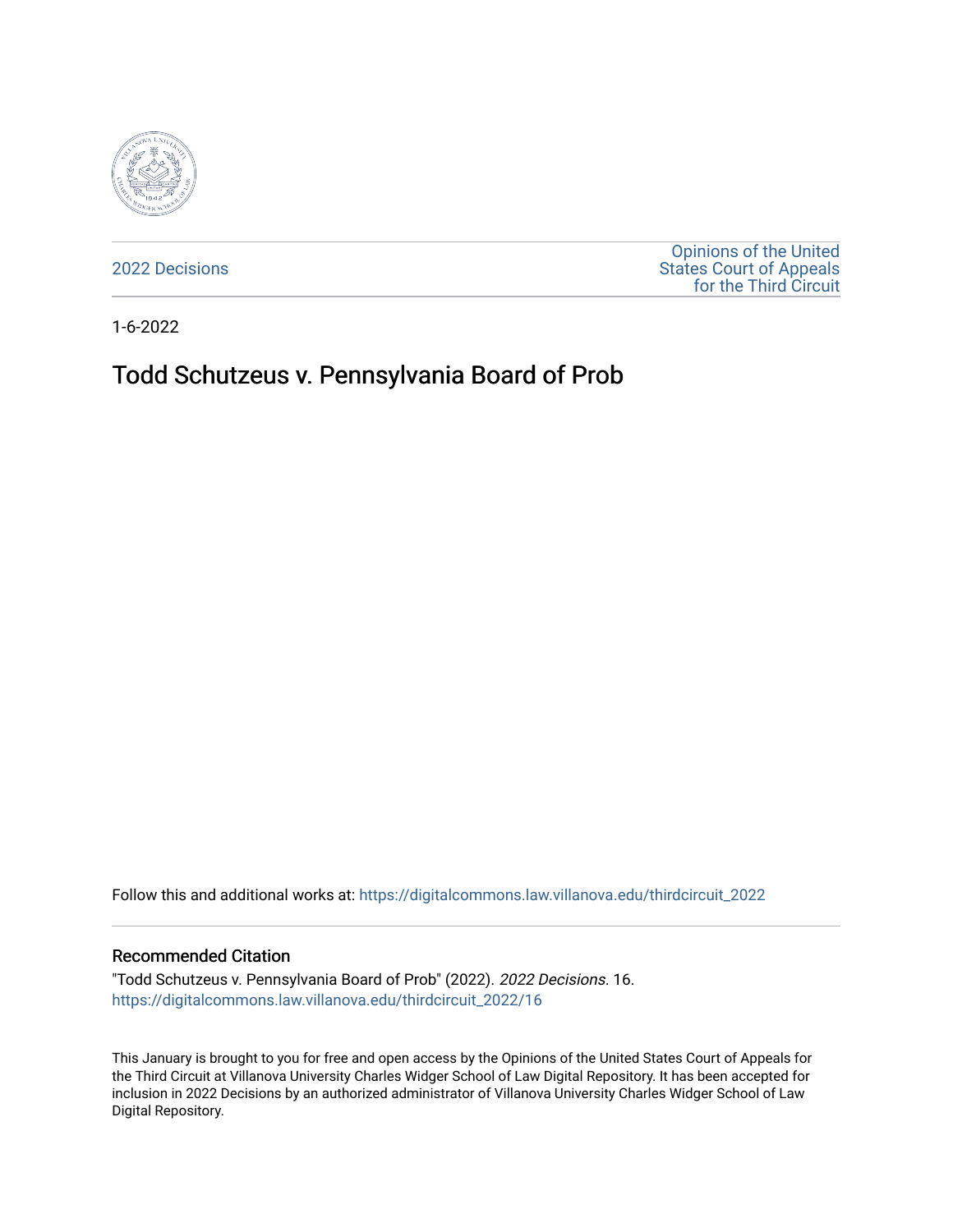

[2022 Decisions](https://digitalcommons.law.villanova.edu/thirdcircuit_2022)

[Opinions of the United](https://digitalcommons.law.villanova.edu/thirdcircuit)  [States Court of Appeals](https://digitalcommons.law.villanova.edu/thirdcircuit)  [for the Third Circuit](https://digitalcommons.law.villanova.edu/thirdcircuit) 

1-6-2022

# Todd Schutzeus v. Pennsylvania Board of Prob

Follow this and additional works at: [https://digitalcommons.law.villanova.edu/thirdcircuit\\_2022](https://digitalcommons.law.villanova.edu/thirdcircuit_2022?utm_source=digitalcommons.law.villanova.edu%2Fthirdcircuit_2022%2F16&utm_medium=PDF&utm_campaign=PDFCoverPages) 

#### Recommended Citation

"Todd Schutzeus v. Pennsylvania Board of Prob" (2022). 2022 Decisions. 16. [https://digitalcommons.law.villanova.edu/thirdcircuit\\_2022/16](https://digitalcommons.law.villanova.edu/thirdcircuit_2022/16?utm_source=digitalcommons.law.villanova.edu%2Fthirdcircuit_2022%2F16&utm_medium=PDF&utm_campaign=PDFCoverPages)

This January is brought to you for free and open access by the Opinions of the United States Court of Appeals for the Third Circuit at Villanova University Charles Widger School of Law Digital Repository. It has been accepted for inclusion in 2022 Decisions by an authorized administrator of Villanova University Charles Widger School of Law Digital Repository.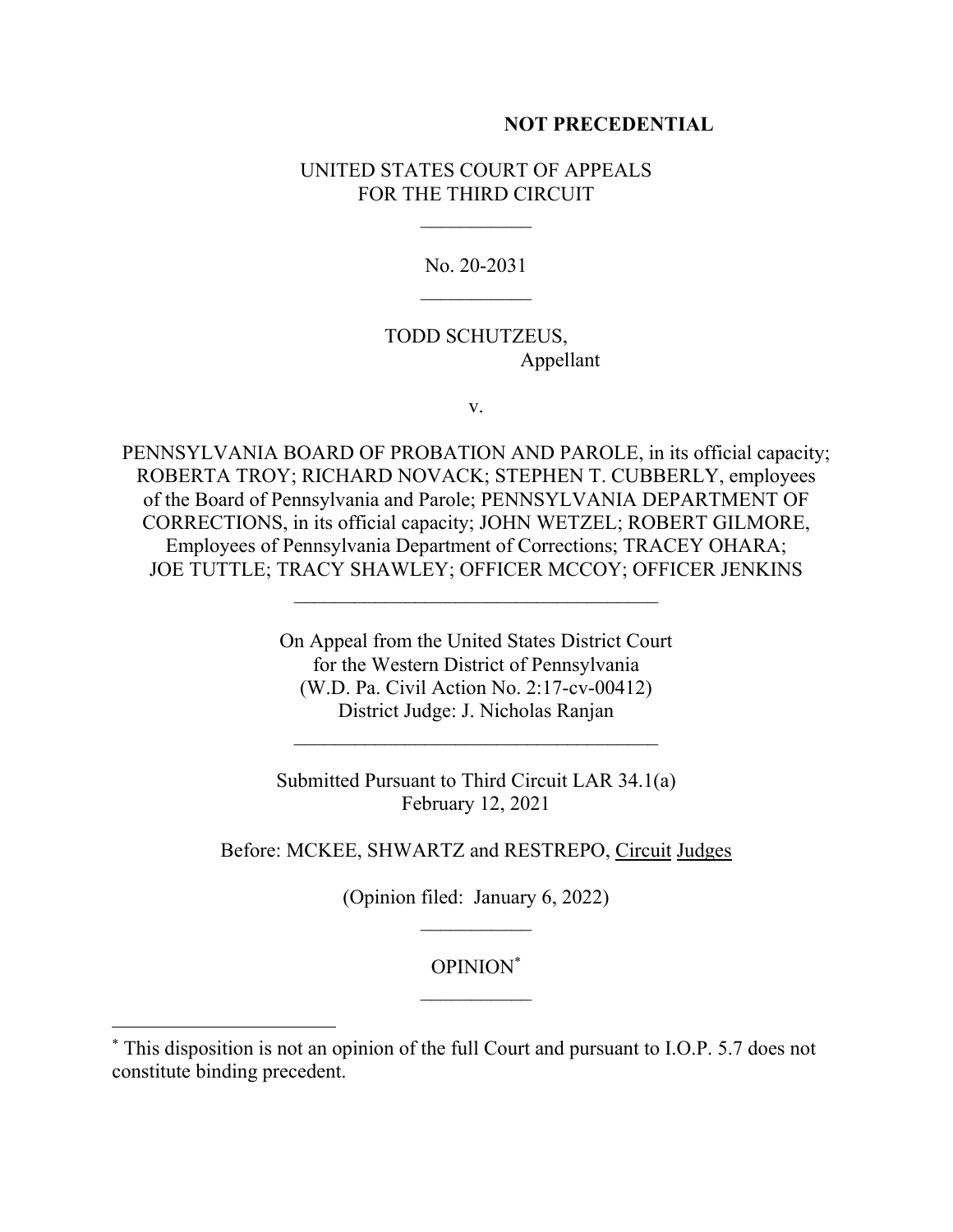## **NOT PRECEDENTIAL**

## UNITED STATES COURT OF APPEALS FOR THE THIRD CIRCUIT

No. 20-2031

## TODD SCHUTZEUS, Appellant

v.

PENNSYLVANIA BOARD OF PROBATION AND PAROLE, in its official capacity; ROBERTA TROY; RICHARD NOVACK; STEPHEN T. CUBBERLY, employees of the Board of Pennsylvania and Parole; PENNSYLVANIA DEPARTMENT OF CORRECTIONS, in its official capacity; JOHN WETZEL; ROBERT GILMORE, Employees of Pennsylvania Department of Corrections; TRACEY OHARA; JOE TUTTLE; TRACY SHAWLEY; OFFICER MCCOY; OFFICER JENKINS

 $\mathcal{L}_\text{max}$ 

On Appeal from the United States District Court for the Western District of Pennsylvania (W.D. Pa. Civil Action No. 2:17-cv-00412) District Judge: J. Nicholas Ranjan

Submitted Pursuant to Third Circuit LAR 34.1(a) February 12, 2021

Before: MCKEE, SHWARTZ and RESTREPO, Circuit Judges

(Opinion filed: January 6, 2022)  $\mathcal{L}_\text{max}$ 

# OPINION\*  $\mathcal{L}_\text{max}$

<sup>\*</sup> This disposition is not an opinion of the full Court and pursuant to I.O.P. 5.7 does not constitute binding precedent.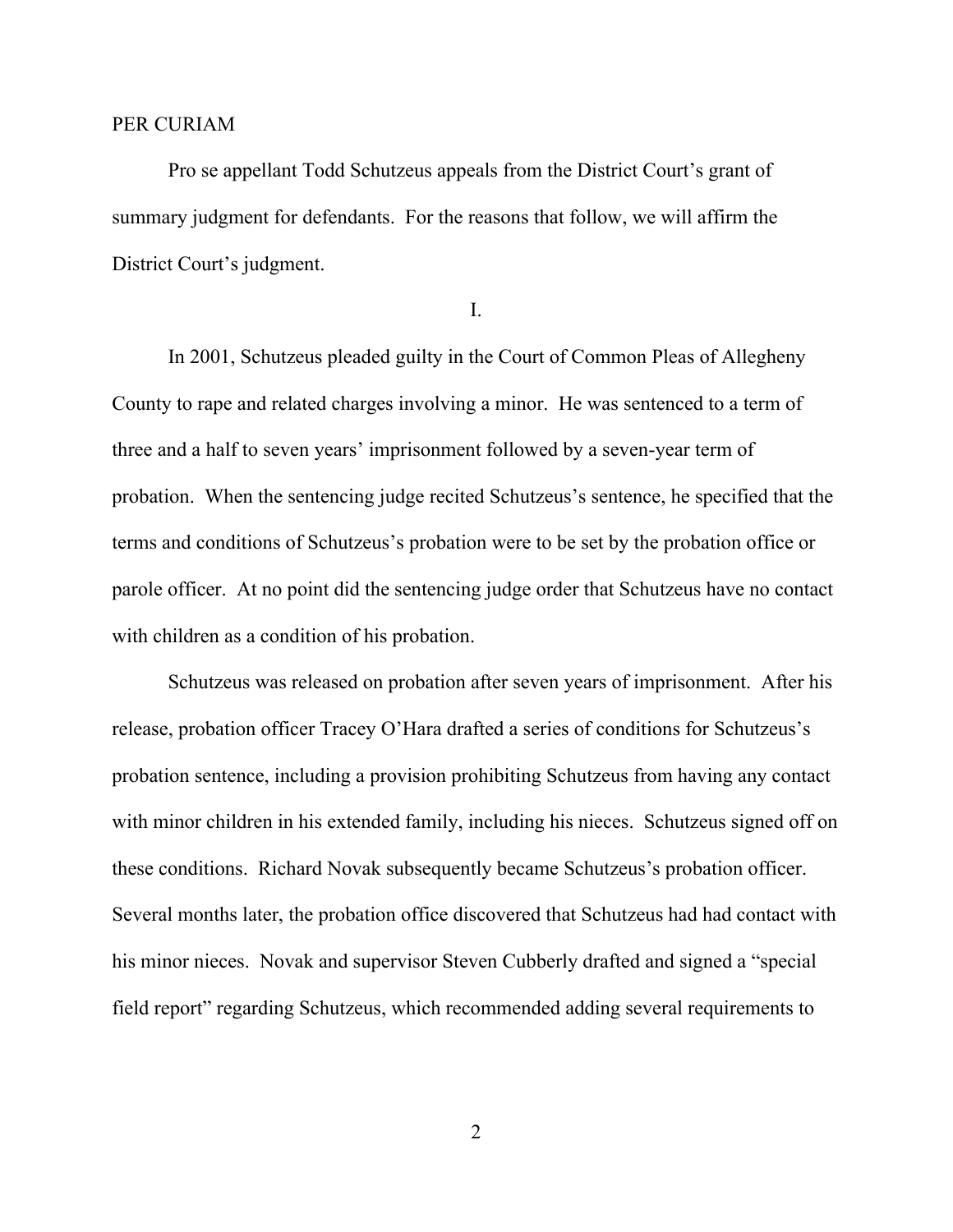#### PER CURIAM

Pro se appellant Todd Schutzeus appeals from the District Court's grant of summary judgment for defendants. For the reasons that follow, we will affirm the District Court's judgment.

I.

In 2001, Schutzeus pleaded guilty in the Court of Common Pleas of Allegheny County to rape and related charges involving a minor. He was sentenced to a term of three and a half to seven years' imprisonment followed by a seven-year term of probation. When the sentencing judge recited Schutzeus's sentence, he specified that the terms and conditions of Schutzeus's probation were to be set by the probation office or parole officer. At no point did the sentencing judge order that Schutzeus have no contact with children as a condition of his probation.

Schutzeus was released on probation after seven years of imprisonment. After his release, probation officer Tracey O'Hara drafted a series of conditions for Schutzeus's probation sentence, including a provision prohibiting Schutzeus from having any contact with minor children in his extended family, including his nieces. Schutzeus signed off on these conditions. Richard Novak subsequently became Schutzeus's probation officer. Several months later, the probation office discovered that Schutzeus had had contact with his minor nieces. Novak and supervisor Steven Cubberly drafted and signed a "special field report" regarding Schutzeus, which recommended adding several requirements to

2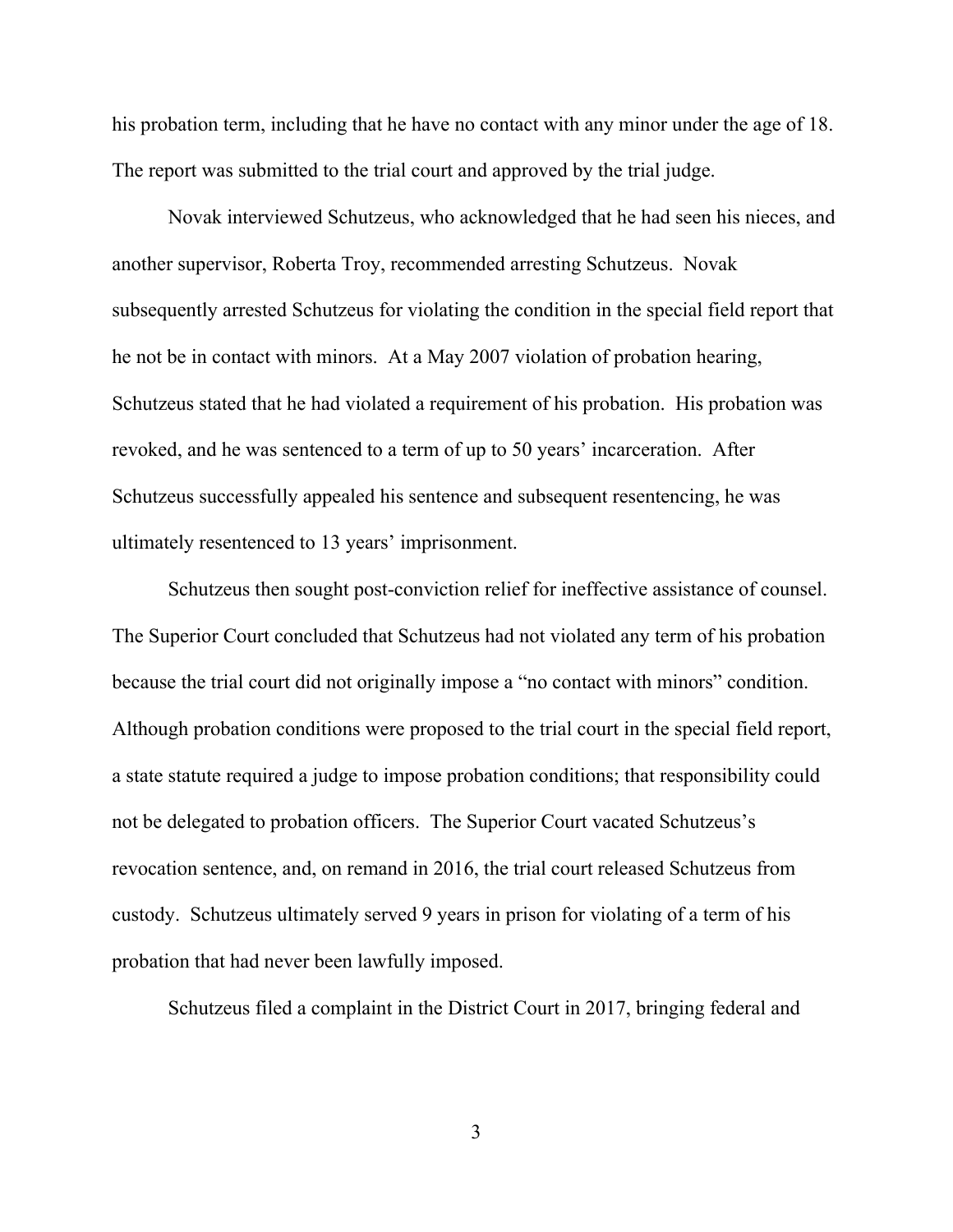his probation term, including that he have no contact with any minor under the age of 18. The report was submitted to the trial court and approved by the trial judge.

Novak interviewed Schutzeus, who acknowledged that he had seen his nieces, and another supervisor, Roberta Troy, recommended arresting Schutzeus. Novak subsequently arrested Schutzeus for violating the condition in the special field report that he not be in contact with minors. At a May 2007 violation of probation hearing, Schutzeus stated that he had violated a requirement of his probation. His probation was revoked, and he was sentenced to a term of up to 50 years' incarceration. After Schutzeus successfully appealed his sentence and subsequent resentencing, he was ultimately resentenced to 13 years' imprisonment.

Schutzeus then sought post-conviction relief for ineffective assistance of counsel. The Superior Court concluded that Schutzeus had not violated any term of his probation because the trial court did not originally impose a "no contact with minors" condition. Although probation conditions were proposed to the trial court in the special field report, a state statute required a judge to impose probation conditions; that responsibility could not be delegated to probation officers. The Superior Court vacated Schutzeus's revocation sentence, and, on remand in 2016, the trial court released Schutzeus from custody. Schutzeus ultimately served 9 years in prison for violating of a term of his probation that had never been lawfully imposed.

Schutzeus filed a complaint in the District Court in 2017, bringing federal and

3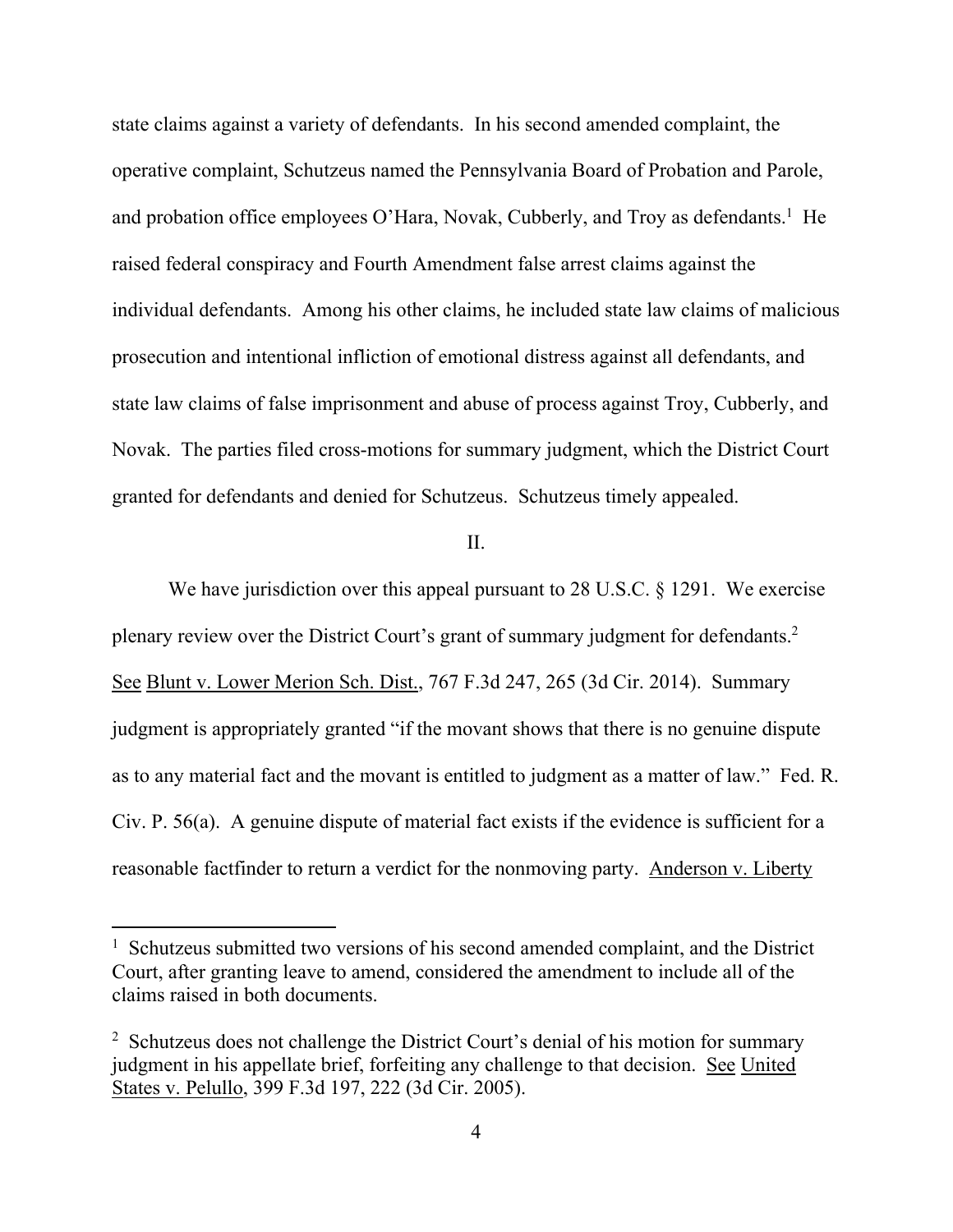state claims against a variety of defendants. In his second amended complaint, the operative complaint, Schutzeus named the Pennsylvania Board of Probation and Parole, and probation office employees O'Hara, Novak, Cubberly, and Troy as defendants.<sup>1</sup> He raised federal conspiracy and Fourth Amendment false arrest claims against the individual defendants. Among his other claims, he included state law claims of malicious prosecution and intentional infliction of emotional distress against all defendants, and state law claims of false imprisonment and abuse of process against Troy, Cubberly, and Novak. The parties filed cross-motions for summary judgment, which the District Court granted for defendants and denied for Schutzeus. Schutzeus timely appealed.

## II.

We have jurisdiction over this appeal pursuant to 28 U.S.C. § 1291. We exercise plenary review over the District Court's grant of summary judgment for defendants.<sup>2</sup> See Blunt v. Lower Merion Sch. Dist., 767 F.3d 247, 265 (3d Cir. 2014). Summary judgment is appropriately granted "if the movant shows that there is no genuine dispute as to any material fact and the movant is entitled to judgment as a matter of law." Fed. R. Civ. P. 56(a). A genuine dispute of material fact exists if the evidence is sufficient for a reasonable factfinder to return a verdict for the nonmoving party. Anderson v. Liberty

<sup>&</sup>lt;sup>1</sup> Schutzeus submitted two versions of his second amended complaint, and the District Court, after granting leave to amend, considered the amendment to include all of the claims raised in both documents.

<sup>&</sup>lt;sup>2</sup> Schutzeus does not challenge the District Court's denial of his motion for summary judgment in his appellate brief, forfeiting any challenge to that decision. See United States v. Pelullo, 399 F.3d 197, 222 (3d Cir. 2005).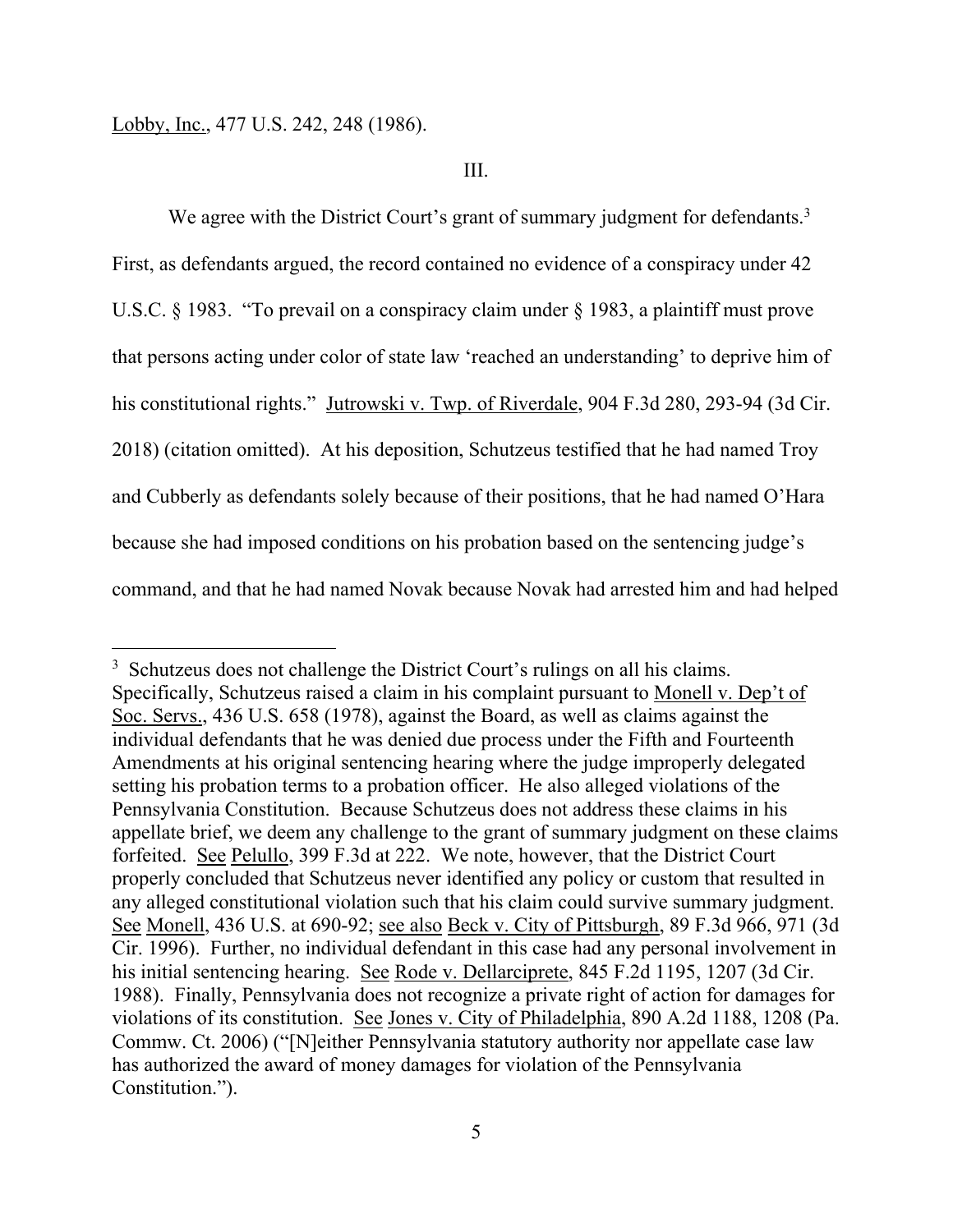#### III.

We agree with the District Court's grant of summary judgment for defendants.<sup>3</sup> First, as defendants argued, the record contained no evidence of a conspiracy under 42 U.S.C. § 1983. "To prevail on a conspiracy claim under § 1983, a plaintiff must prove that persons acting under color of state law 'reached an understanding' to deprive him of his constitutional rights." Jutrowski v. Twp. of Riverdale, 904 F.3d 280, 293-94 (3d Cir. 2018) (citation omitted). At his deposition, Schutzeus testified that he had named Troy and Cubberly as defendants solely because of their positions, that he had named O'Hara because she had imposed conditions on his probation based on the sentencing judge's command, and that he had named Novak because Novak had arrested him and had helped

<sup>&</sup>lt;sup>3</sup> Schutzeus does not challenge the District Court's rulings on all his claims. Specifically, Schutzeus raised a claim in his complaint pursuant to Monell v. Dep't of Soc. Servs., 436 U.S. 658 (1978), against the Board, as well as claims against the individual defendants that he was denied due process under the Fifth and Fourteenth Amendments at his original sentencing hearing where the judge improperly delegated setting his probation terms to a probation officer. He also alleged violations of the Pennsylvania Constitution. Because Schutzeus does not address these claims in his appellate brief, we deem any challenge to the grant of summary judgment on these claims forfeited. See Pelullo, 399 F.3d at 222. We note, however, that the District Court properly concluded that Schutzeus never identified any policy or custom that resulted in any alleged constitutional violation such that his claim could survive summary judgment. See Monell, 436 U.S. at 690-92; see also Beck v. City of Pittsburgh, 89 F.3d 966, 971 (3d Cir. 1996). Further, no individual defendant in this case had any personal involvement in his initial sentencing hearing. See Rode v. Dellarciprete, 845 F.2d 1195, 1207 (3d Cir. 1988). Finally, Pennsylvania does not recognize a private right of action for damages for violations of its constitution. See Jones v. City of Philadelphia, 890 A.2d 1188, 1208 (Pa. Commw. Ct. 2006) ("[N]either Pennsylvania statutory authority nor appellate case law has authorized the award of money damages for violation of the Pennsylvania Constitution.").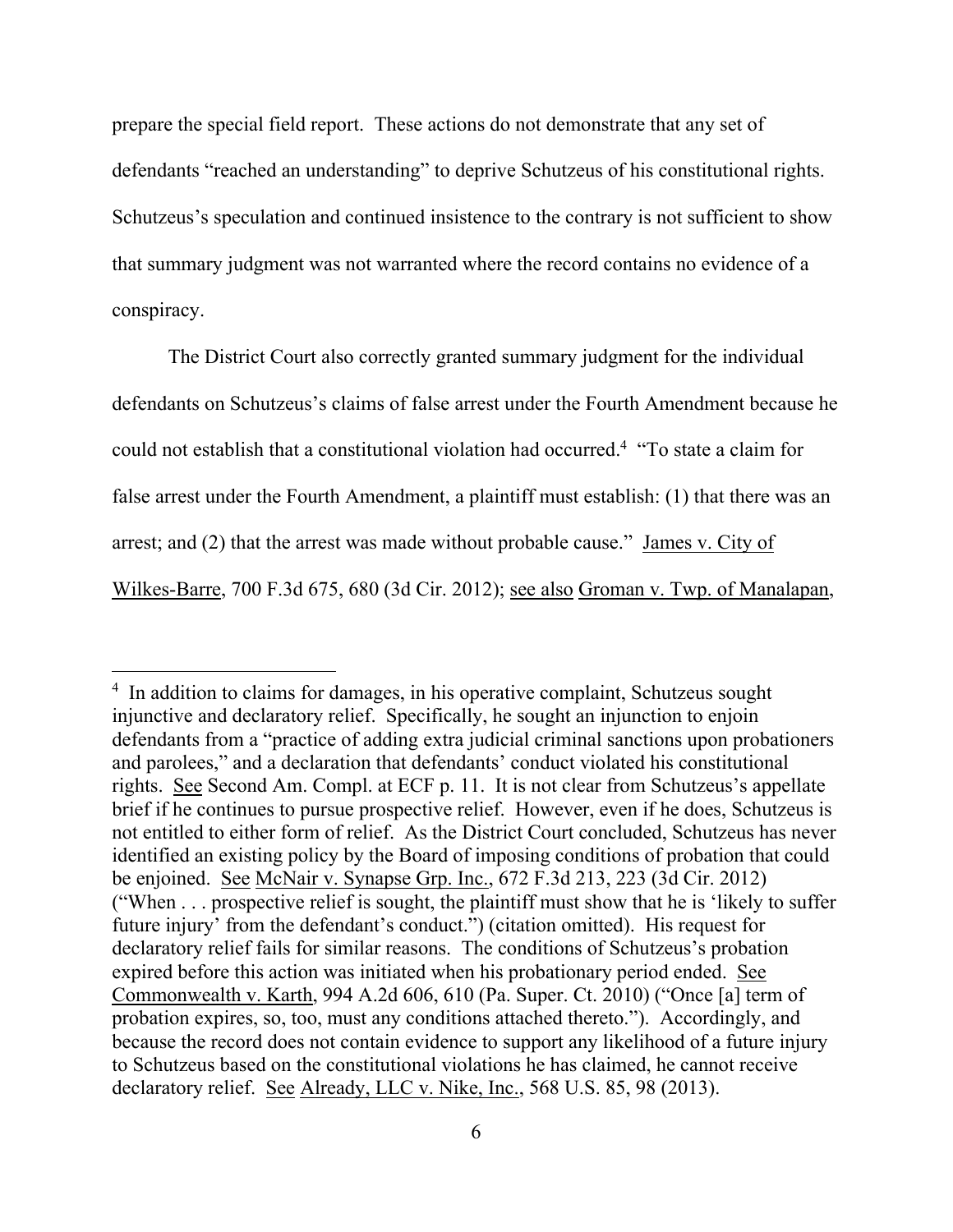prepare the special field report. These actions do not demonstrate that any set of defendants "reached an understanding" to deprive Schutzeus of his constitutional rights. Schutzeus's speculation and continued insistence to the contrary is not sufficient to show that summary judgment was not warranted where the record contains no evidence of a conspiracy.

The District Court also correctly granted summary judgment for the individual defendants on Schutzeus's claims of false arrest under the Fourth Amendment because he could not establish that a constitutional violation had occurred.4 "To state a claim for false arrest under the Fourth Amendment, a plaintiff must establish: (1) that there was an arrest; and (2) that the arrest was made without probable cause." James v. City of Wilkes-Barre, 700 F.3d 675, 680 (3d Cir. 2012); see also Groman v. Twp. of Manalapan,

<sup>&</sup>lt;sup>4</sup> In addition to claims for damages, in his operative complaint, Schutzeus sought injunctive and declaratory relief. Specifically, he sought an injunction to enjoin defendants from a "practice of adding extra judicial criminal sanctions upon probationers and parolees," and a declaration that defendants' conduct violated his constitutional rights. See Second Am. Compl. at ECF p. 11. It is not clear from Schutzeus's appellate brief if he continues to pursue prospective relief. However, even if he does, Schutzeus is not entitled to either form of relief. As the District Court concluded, Schutzeus has never identified an existing policy by the Board of imposing conditions of probation that could be enjoined. See McNair v. Synapse Grp. Inc., 672 F.3d 213, 223 (3d Cir. 2012) ("When . . . prospective relief is sought, the plaintiff must show that he is 'likely to suffer future injury' from the defendant's conduct.") (citation omitted). His request for declaratory relief fails for similar reasons. The conditions of Schutzeus's probation expired before this action was initiated when his probationary period ended. See Commonwealth v. Karth, 994 A.2d 606, 610 (Pa. Super. Ct. 2010) ("Once [a] term of probation expires, so, too, must any conditions attached thereto."). Accordingly, and because the record does not contain evidence to support any likelihood of a future injury to Schutzeus based on the constitutional violations he has claimed, he cannot receive declaratory relief. See Already, LLC v. Nike, Inc., 568 U.S. 85, 98 (2013).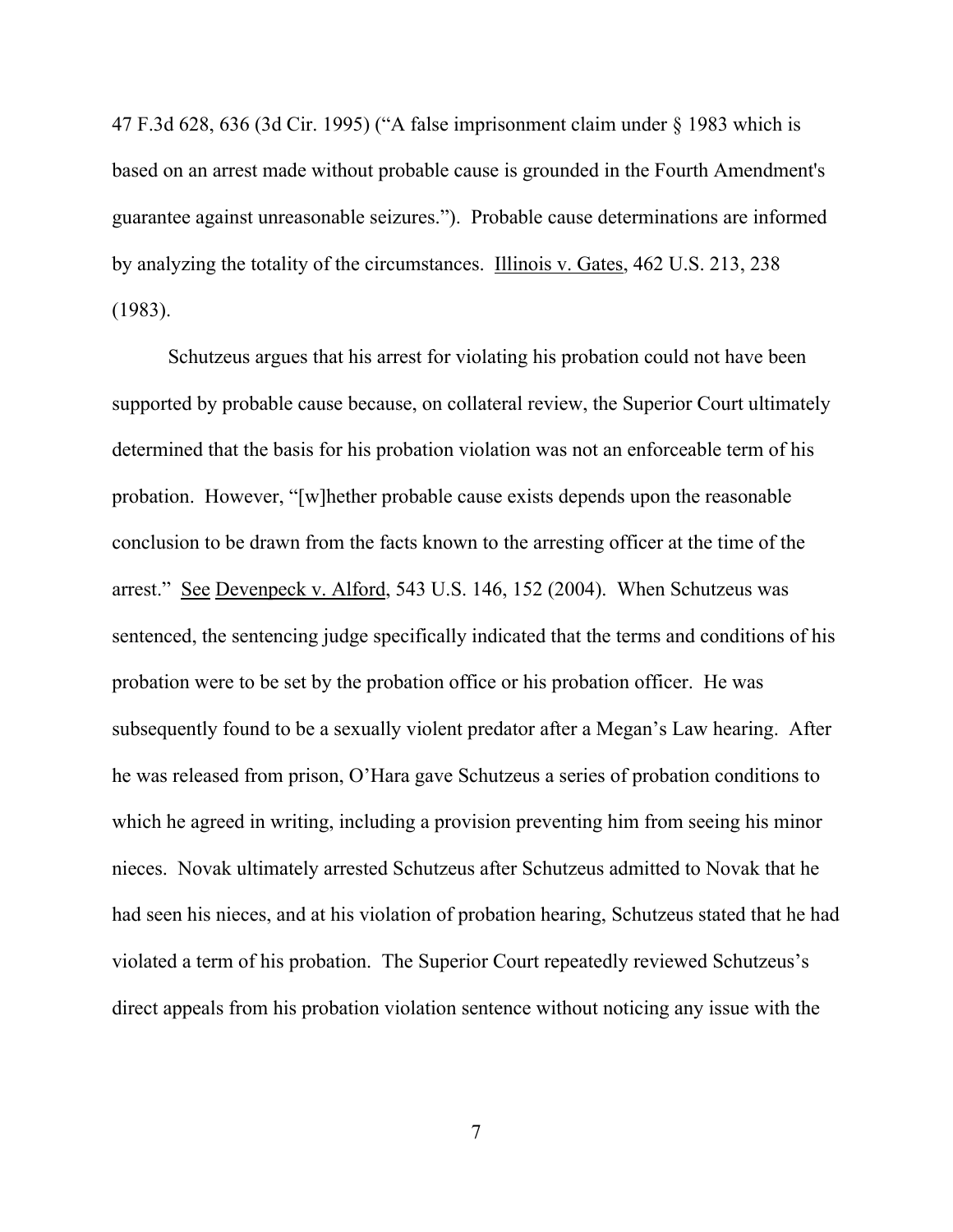47 F.3d 628, 636 (3d Cir. 1995) ("A false imprisonment claim under § 1983 which is based on an arrest made without probable cause is grounded in the Fourth Amendment's guarantee against unreasonable seizures."). Probable cause determinations are informed by analyzing the totality of the circumstances. Illinois v. Gates, 462 U.S. 213, 238 (1983).

Schutzeus argues that his arrest for violating his probation could not have been supported by probable cause because, on collateral review, the Superior Court ultimately determined that the basis for his probation violation was not an enforceable term of his probation. However, "[w]hether probable cause exists depends upon the reasonable conclusion to be drawn from the facts known to the arresting officer at the time of the arrest." See Devenpeck v. Alford, 543 U.S. 146, 152 (2004). When Schutzeus was sentenced, the sentencing judge specifically indicated that the terms and conditions of his probation were to be set by the probation office or his probation officer. He was subsequently found to be a sexually violent predator after a Megan's Law hearing. After he was released from prison, O'Hara gave Schutzeus a series of probation conditions to which he agreed in writing, including a provision preventing him from seeing his minor nieces. Novak ultimately arrested Schutzeus after Schutzeus admitted to Novak that he had seen his nieces, and at his violation of probation hearing, Schutzeus stated that he had violated a term of his probation. The Superior Court repeatedly reviewed Schutzeus's direct appeals from his probation violation sentence without noticing any issue with the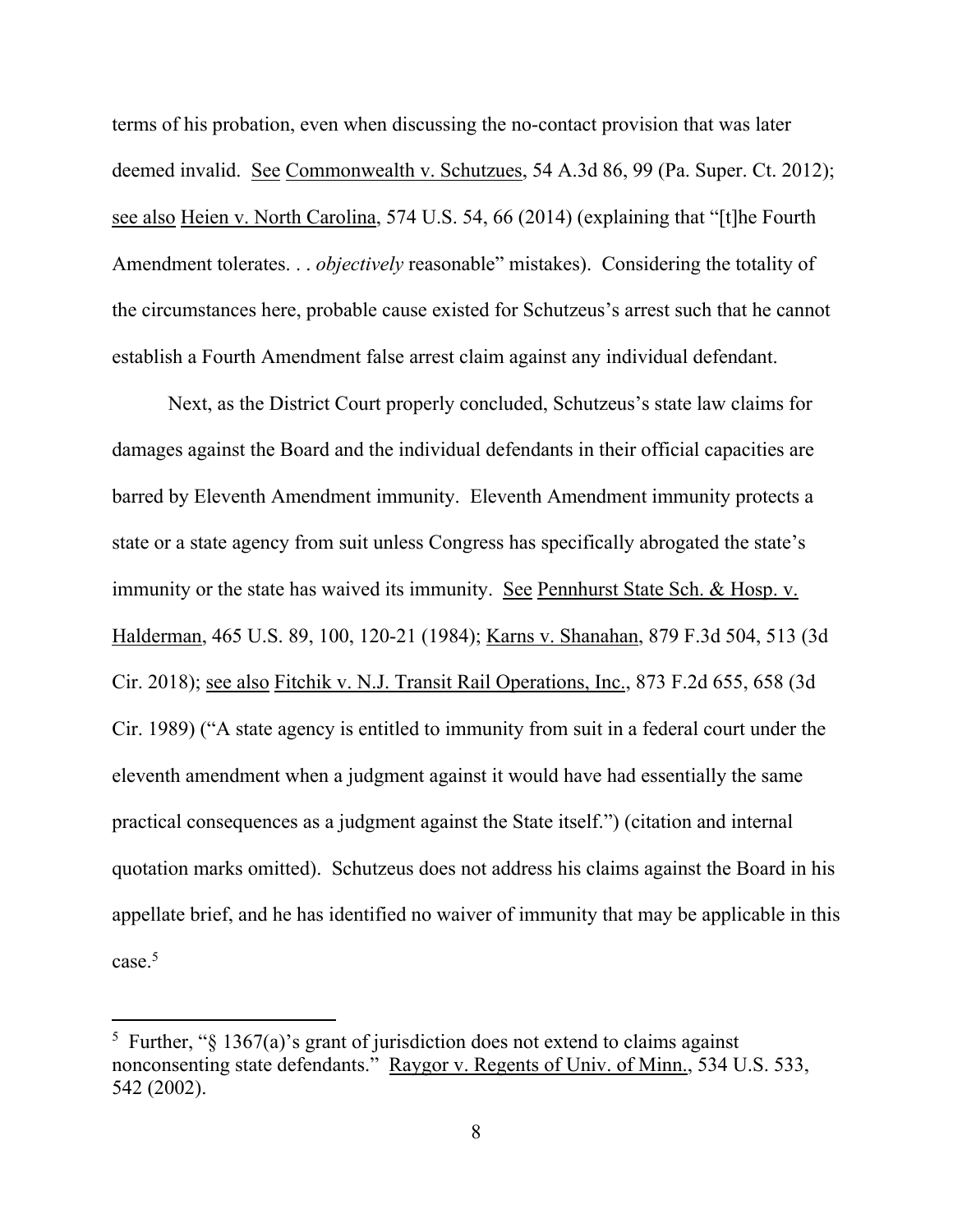terms of his probation, even when discussing the no-contact provision that was later deemed invalid. See Commonwealth v. Schutzues, 54 A.3d 86, 99 (Pa. Super. Ct. 2012); see also Heien v. North Carolina, 574 U.S. 54, 66 (2014) (explaining that "[t]he Fourth Amendment tolerates. . . *objectively* reasonable" mistakes). Considering the totality of the circumstances here, probable cause existed for Schutzeus's arrest such that he cannot establish a Fourth Amendment false arrest claim against any individual defendant.

Next, as the District Court properly concluded, Schutzeus's state law claims for damages against the Board and the individual defendants in their official capacities are barred by Eleventh Amendment immunity. Eleventh Amendment immunity protects a state or a state agency from suit unless Congress has specifically abrogated the state's immunity or the state has waived its immunity. See Pennhurst State Sch. & Hosp. v. Halderman, 465 U.S. 89, 100, 120-21 (1984); Karns v. Shanahan, 879 F.3d 504, 513 (3d Cir. 2018); see also Fitchik v. N.J. Transit Rail Operations, Inc., 873 F.2d 655, 658 (3d Cir. 1989) ("A state agency is entitled to immunity from suit in a federal court under the eleventh amendment when a judgment against it would have had essentially the same practical consequences as a judgment against the State itself.") (citation and internal quotation marks omitted). Schutzeus does not address his claims against the Board in his appellate brief, and he has identified no waiver of immunity that may be applicable in this case.5

<sup>&</sup>lt;sup>5</sup> Further, " $\S$  1367(a)'s grant of jurisdiction does not extend to claims against nonconsenting state defendants." Raygor v. Regents of Univ. of Minn., 534 U.S. 533, 542 (2002).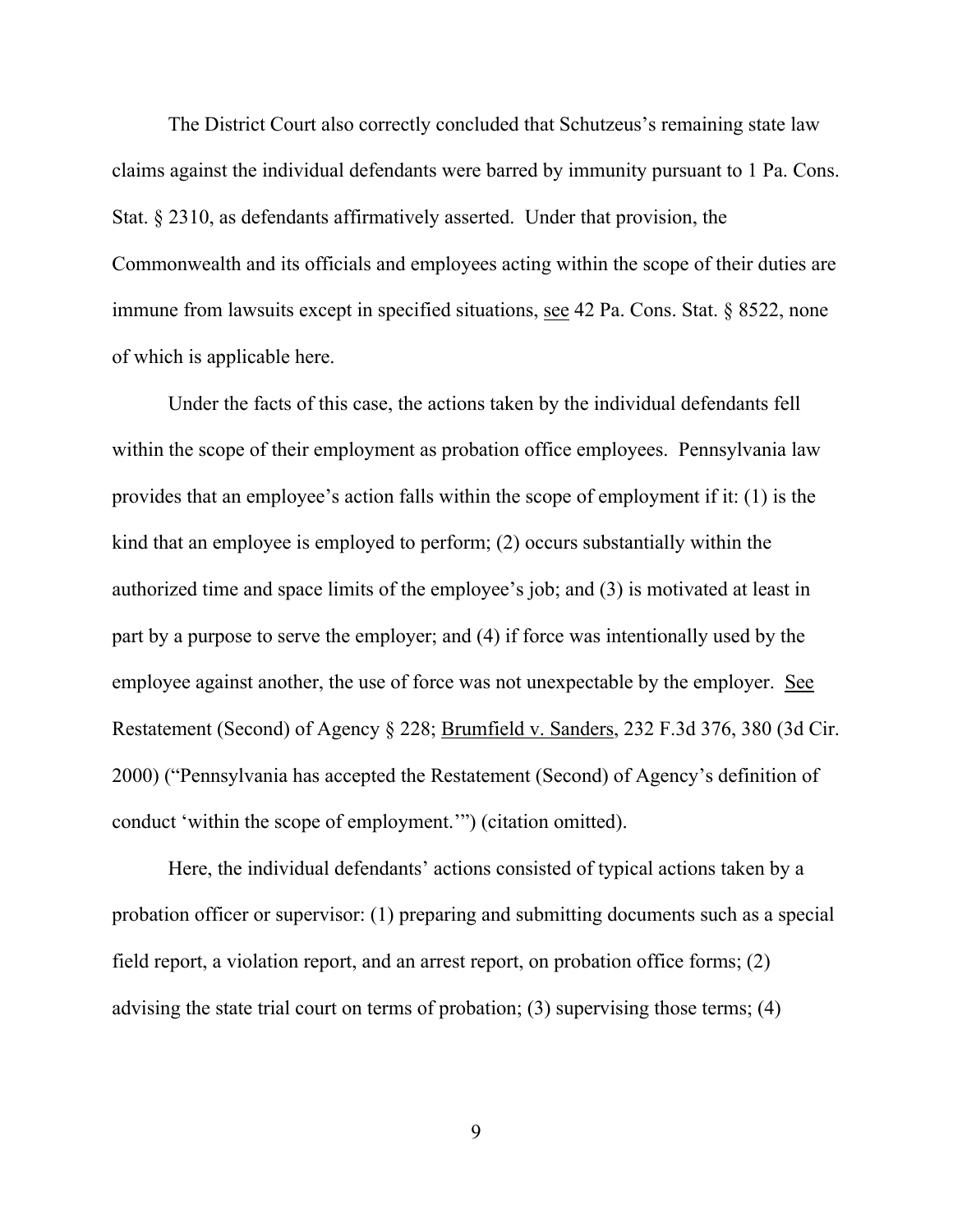The District Court also correctly concluded that Schutzeus's remaining state law claims against the individual defendants were barred by immunity pursuant to 1 Pa. Cons. Stat. § 2310, as defendants affirmatively asserted. Under that provision, the Commonwealth and its officials and employees acting within the scope of their duties are immune from lawsuits except in specified situations, see 42 Pa. Cons. Stat. § 8522, none of which is applicable here.

Under the facts of this case, the actions taken by the individual defendants fell within the scope of their employment as probation office employees. Pennsylvania law provides that an employee's action falls within the scope of employment if it: (1) is the kind that an employee is employed to perform; (2) occurs substantially within the authorized time and space limits of the employee's job; and (3) is motivated at least in part by a purpose to serve the employer; and (4) if force was intentionally used by the employee against another, the use of force was not unexpectable by the employer. See Restatement (Second) of Agency § 228; Brumfield v. Sanders, 232 F.3d 376, 380 (3d Cir. 2000) ("Pennsylvania has accepted the Restatement (Second) of Agency's definition of conduct 'within the scope of employment.'") (citation omitted).

Here, the individual defendants' actions consisted of typical actions taken by a probation officer or supervisor: (1) preparing and submitting documents such as a special field report, a violation report, and an arrest report, on probation office forms; (2) advising the state trial court on terms of probation; (3) supervising those terms; (4)

9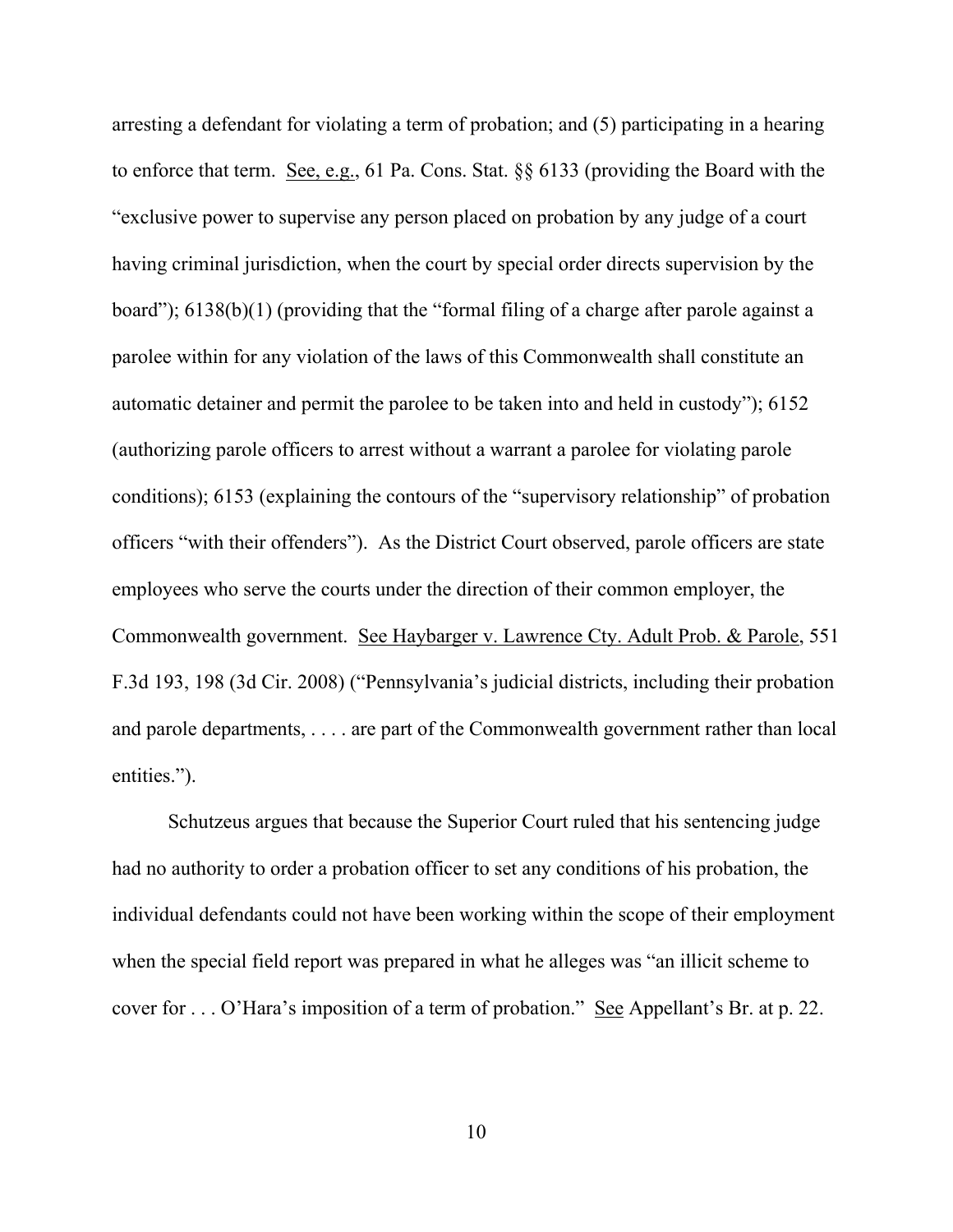arresting a defendant for violating a term of probation; and (5) participating in a hearing to enforce that term. See, e.g., 61 Pa. Cons. Stat. §§ 6133 (providing the Board with the "exclusive power to supervise any person placed on probation by any judge of a court having criminal jurisdiction, when the court by special order directs supervision by the board"); 6138(b)(1) (providing that the "formal filing of a charge after parole against a parolee within for any violation of the laws of this Commonwealth shall constitute an automatic detainer and permit the parolee to be taken into and held in custody"); 6152 (authorizing parole officers to arrest without a warrant a parolee for violating parole conditions); 6153 (explaining the contours of the "supervisory relationship" of probation officers "with their offenders"). As the District Court observed, parole officers are state employees who serve the courts under the direction of their common employer, the Commonwealth government. See Haybarger v. Lawrence Cty. Adult Prob. & Parole, 551 F.3d 193, 198 (3d Cir. 2008) ("Pennsylvania's judicial districts, including their probation and parole departments, . . . . are part of the Commonwealth government rather than local entities.").

Schutzeus argues that because the Superior Court ruled that his sentencing judge had no authority to order a probation officer to set any conditions of his probation, the individual defendants could not have been working within the scope of their employment when the special field report was prepared in what he alleges was "an illicit scheme to cover for . . . O'Hara's imposition of a term of probation." See Appellant's Br. at p. 22.